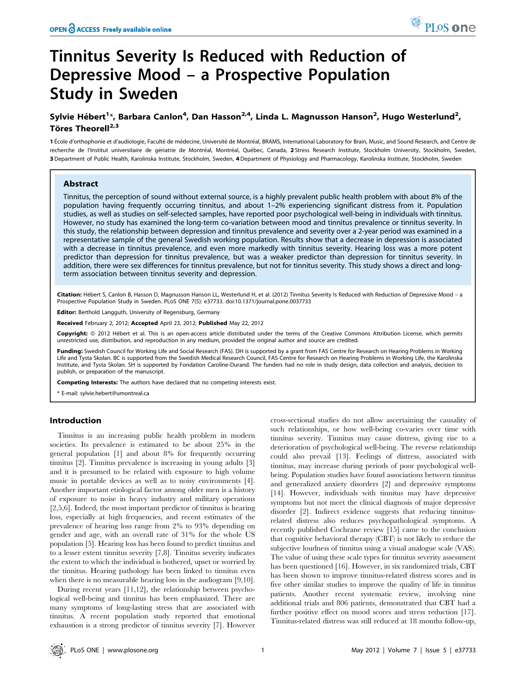# Tinnitus Severity Is Reduced with Reduction of Depressive Mood – a Prospective Population Study in Sweden

# Sylvie Hébert<sup>1</sup>\*, Barbara Canlon<sup>4</sup>, Dan Hasson<sup>2,4</sup>, Linda L. Magnusson Hanson<sup>2</sup>, Hugo Westerlund<sup>2</sup>, Töres Theorell<sup>2,3</sup>

1 École d'orthophonie et d'audiologie, Faculté de médecine, Université de Montréal, BRAMS, International Laboratory for Brain, Music, and Sound Research, and Centre de recherche de l'Institut universitaire de gériatrie de Montréal, Montréal, Québec, Canada, 2 Stress Research Institute, Stockholm University, Stockholm, Sweden, 3 Department of Public Health, Karolinska Institute, Stockholm, Sweden, 4Department of Physiology and Pharmacology, Karolinska Institute, Stockholm, Sweden

# Abstract

Tinnitus, the perception of sound without external source, is a highly prevalent public health problem with about 8% of the population having frequently occurring tinnitus, and about 1–2% experiencing significant distress from it. Population studies, as well as studies on self-selected samples, have reported poor psychological well-being in individuals with tinnitus. However, no study has examined the long-term co-variation between mood and tinnitus prevalence or tinnitus severity. In this study, the relationship between depression and tinnitus prevalence and severity over a 2-year period was examined in a representative sample of the general Swedish working population. Results show that a decrease in depression is associated with a decrease in tinnitus prevalence, and even more markedly with tinnitus severity. Hearing loss was a more potent predictor than depression for tinnitus prevalence, but was a weaker predictor than depression for tinnitus severity. In addition, there were sex differences for tinnitus prevalence, but not for tinnitus severity. This study shows a direct and longterm association between tinnitus severity and depression.

Citation: Hébert S, Canlon B, Hasson D, Magnusson Hanson LL, Westerlund H, et al. (2012) Tinnitus Severity Is Reduced with Reduction of Depressive Mood - a Prospective Population Study in Sweden. PLoS ONE 7(5): e37733. doi:10.1371/journal.pone.0037733

**Editor:** Berthold Langguth, University of Regensburg, Germany

Received February 2, 2012; Accepted April 23, 2012; Published May 22, 2012

Copyright: © 2012 Hébert et al. This is an open-access article distributed under the terms of the Creative Commons Attribution License, which permits unrestricted use, distribution, and reproduction in any medium, provided the original author and source are credited.

Funding: Swedish Council for Working Life and Social Research (FAS). DH is supported by a grant from FAS Centre for Research on Hearing Problems in Working Life and Tysta Skolan. BC is supported from the Swedish Medical Research Council, FAS Centre for Research on Hearing Problems in Working Life, the Karolinska Institute, and Tysta Skolan. SH is supported by Fondation Caroline-Durand. The funders had no role in study design, data collection and analysis, decision to publish, or preparation of the manuscript.

Competing Interests: The authors have declared that no competing interests exist.

\* E-mail: sylvie.hebert@umontreal.ca

### Introduction

Tinnitus is an increasing public health problem in modern societies. Its prevalence is estimated to be about 25% in the general population [1] and about 8% for frequently occurring tinnitus [2]. Tinnitus prevalence is increasing in young adults [3] and it is presumed to be related with exposure to high volume music in portable devices as well as to noisy environments [4]. Another important etiological factor among older men is a history of exposure to noise in heavy industry and military operations [2,5,6]. Indeed, the most important predictor of tinnitus is hearing loss, especially at high frequencies, and recent estimates of the prevalence of hearing loss range from 2% to 93% depending on gender and age, with an overall rate of 31% for the whole US population [5]. Hearing loss has been found to predict tinnitus and to a lesser extent tinnitus severity [7,8]. Tinnitus severity indicates the extent to which the individual is bothered, upset or worried by the tinnitus. Hearing pathology has been linked to tinnitus even when there is no measurable hearing loss in the audiogram [9,10].

During recent years [11,12], the relationship between psychological well-being and tinnitus has been emphasized. There are many symptoms of long-lasting stress that are associated with tinnitus. A recent population study reported that emotional exhaustion is a strong predictor of tinnitus severity [7]. However cross-sectional studies do not allow ascertaining the causality of such relationships, or how well-being co-varies over time with tinnitus severity. Tinnitus may cause distress, giving rise to a deterioration of psychological well-being. The reverse relationship could also prevail [13]. Feelings of distress, associated with tinnitus, may increase during periods of poor psychological wellbeing. Population studies have found associations between tinnitus and generalized anxiety disorders [2] and depressive symptoms [14]. However, individuals with tinnitus may have depressive symptoms but not meet the clinical diagnosis of major depressive disorder [2]. Indirect evidence suggests that reducing tinnitusrelated distress also reduces psychopathological symptoms. A recently published Cochrane review [15] came to the conclusion that cognitive behavioral therapy (CBT) is not likely to reduce the subjective loudness of tinnitus using a visual analogue scale (VAS). The value of using these scale types for tinnitus severity assessment has been questioned [16]. However, in six randomized trials, CBT has been shown to improve tinnitus-related distress scores and in five other similar studies to improve the quality of life in tinnitus patients. Another recent systematic review, involving nine additional trials and 806 patients, demonstrated that CBT had a further positive effect on mood scores and stress reduction [17]. Tinnitus-related distress was still reduced at 18 months follow-up,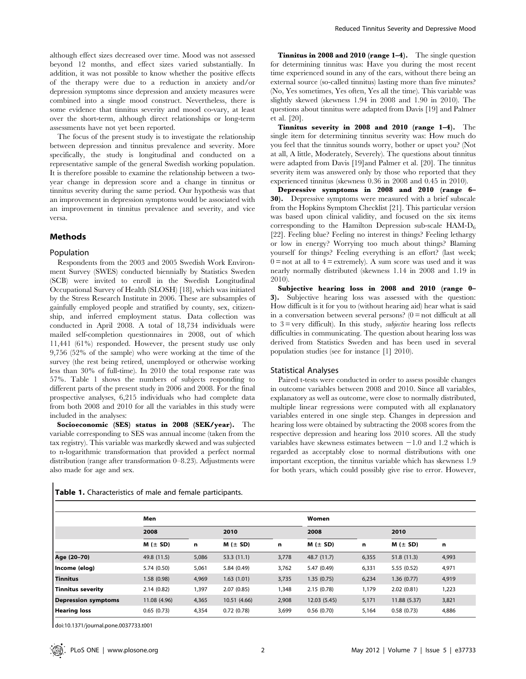although effect sizes decreased over time. Mood was not assessed beyond 12 months, and effect sizes varied substantially. In addition, it was not possible to know whether the positive effects of the therapy were due to a reduction in anxiety and/or depression symptoms since depression and anxiety measures were combined into a single mood construct. Nevertheless, there is some evidence that tinnitus severity and mood co-vary, at least over the short-term, although direct relationships or long-term assessments have not yet been reported.

The focus of the present study is to investigate the relationship between depression and tinnitus prevalence and severity. More specifically, the study is longitudinal and conducted on a representative sample of the general Swedish working population. It is therefore possible to examine the relationship between a twoyear change in depression score and a change in tinnitus or tinnitus severity during the same period. Our hypothesis was that an improvement in depression symptoms would be associated with an improvement in tinnitus prevalence and severity, and vice versa.

# Methods

#### Population

Respondents from the 2003 and 2005 Swedish Work Environment Survey (SWES) conducted biennially by Statistics Sweden (SCB) were invited to enroll in the Swedish Longitudinal Occupational Survey of Health (SLOSH) [18], which was initiated by the Stress Research Institute in 2006. These are subsamples of gainfully employed people and stratified by county, sex, citizenship, and inferred employment status. Data collection was conducted in April 2008. A total of 18,734 individuals were mailed self-completion questionnaires in 2008, out of which 11,441 (61%) responded. However, the present study use only 9,756 (52% of the sample) who were working at the time of the survey (the rest being retired, unemployed or otherwise working less than 30% of full-time). In 2010 the total response rate was 57%. Table 1 shows the numbers of subjects responding to different parts of the present study in 2006 and 2008. For the final prospective analyses, 6,215 individuals who had complete data from both 2008 and 2010 for all the variables in this study were included in the analyses:

Socioeconomic (SES) status in 2008 (SEK/year). The variable corresponding to SES was annual income (taken from the tax registry). This variable was markedly skewed and was subjected to n-logarithmic transformation that provided a perfect normal distribution (range after transformation 0–8.23). Adjustments were also made for age and sex.

Table 1. Characteristics of male and female participants.

Tinnitus in 2008 and 2010 (range 1–4). The single question for determining tinnitus was: Have you during the most recent time experienced sound in any of the ears, without there being an external source (so-called tinnitus) lasting more than five minutes? (No, Yes sometimes, Yes often, Yes all the time). This variable was slightly skewed (skewness 1.94 in 2008 and 1.90 in 2010). The questions about tinnitus were adapted from Davis [19] and Palmer et al. [20].

Tinnitus severity in 2008 and 2010 (range 1–4). The single item for determining tinnitus severity was: How much do you feel that the tinnitus sounds worry, bother or upset you? (Not at all, A little, Moderately, Severely). The questions about tinnitus were adapted from Davis [19]and Palmer et al. [20]. The tinnitus severity item was answered only by those who reported that they experienced tinnitus (skewness 0.36 in 2008 and 0.45 in 2010).

Depressive symptoms in 2008 and 2010 (range 6– 30). Depressive symptoms were measured with a brief subscale from the Hopkins Symptom Checklist [21]. This particular version was based upon clinical validity, and focused on the six items corresponding to the Hamilton Depression sub-scale  $HAM-D<sub>6</sub>$ [22]. Feeling blue? Feeling no interest in things? Feeling lethargy or low in energy? Worrying too much about things? Blaming yourself for things? Feeling everything is an effort? (last week;  $0 =$ not at all to  $4 =$  extremely). A sum score was used and it was nearly normally distributed (skewness 1.14 in 2008 and 1.19 in 2010).

Subjective hearing loss in 2008 and 2010 (range 0– 3). Subjective hearing loss was assessed with the question: How difficult is it for you to (without hearing aid) hear what is said in a conversation between several persons?  $(0 = not difficult at all$ to  $3 = \text{very difficult}$ . In this study, *subjective* hearing loss reflects difficulties in communicating. The question about hearing loss was derived from Statistics Sweden and has been used in several population studies (see for instance [1] 2010).

#### Statistical Analyses

Paired t-tests were conducted in order to assess possible changes in outcome variables between 2008 and 2010. Since all variables, explanatory as well as outcome, were close to normally distributed, multiple linear regressions were computed with all explanatory variables entered in one single step. Changes in depression and hearing loss were obtained by subtracting the 2008 scores from the respective depression and hearing loss 2010 scores. All the study variables have skewness estimates between  $-1.0$  and 1.2 which is regarded as acceptably close to normal distributions with one important exception, the tinnitus variable which has skewness 1.9 for both years, which could possibly give rise to error. However,

|                            | Men             |       |              |       | Women           |       |              |       |  |
|----------------------------|-----------------|-------|--------------|-------|-----------------|-------|--------------|-------|--|
|                            | 2008            |       | 2010         |       | 2008            |       | 2010         |       |  |
|                            | $M$ ( $\pm$ SD) | n     | $M (\pm SD)$ | n     | $M$ ( $\pm$ SD) | n     | $M (\pm SD)$ | n     |  |
| Age (20-70)                | 49.8 (11.5)     | 5,086 | 53.3(11.1)   | 3,778 | 48.7 (11.7)     | 6,355 | 51.8(11.3)   | 4,993 |  |
| Income (elog)              | 5.74 (0.50)     | 5,061 | 5.84 (0.49)  | 3,762 | 5.47 (0.49)     | 6,331 | 5.55 (0.52)  | 4,971 |  |
| <b>Tinnitus</b>            | 1.58 (0.98)     | 4,969 | 1.63(1.01)   | 3,735 | 1.35(0.75)      | 6,234 | 1.36(0.77)   | 4,919 |  |
| Tinnitus severity          | 2.14(0.82)      | 1,397 | 2.07(0.85)   | 1,348 | 2.15(0.78)      | 1,179 | 2.02(0.81)   | 1,223 |  |
| <b>Depression symptoms</b> | 11.08 (4.96)    | 4,365 | 10.51 (4.66) | 2,908 | 12.03 (5.45)    | 5,171 | 11.88 (5.37) | 3,821 |  |
| <b>Hearing loss</b>        | 0.65(0.73)      | 4,354 | 0.72(0.78)   | 3,699 | 0.56(0.70)      | 5,164 | 0.58(0.73)   | 4,886 |  |

doi:10.1371/journal.pone.0037733.t001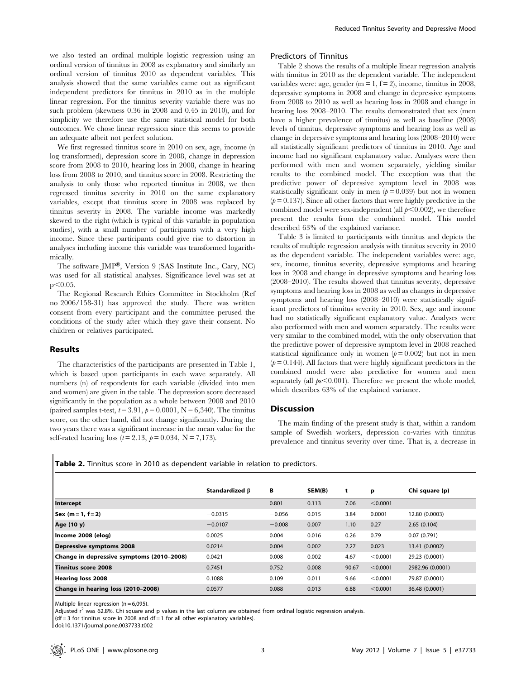we also tested an ordinal multiple logistic regression using an ordinal version of tinnitus in 2008 as explanatory and similarly an ordinal version of tinnitus 2010 as dependent variables. This analysis showed that the same variables came out as significant independent predictors for tinnitus in 2010 as in the multiple linear regression. For the tinnitus severity variable there was no such problem (skewness 0.36 in 2008 and 0.45 in 2010), and for simplicity we therefore use the same statistical model for both outcomes. We chose linear regression since this seems to provide an adequate albeit not perfect solution.

We first regressed tinnitus score in 2010 on sex, age, income (n log transformed), depression score in 2008, change in depression score from 2008 to 2010, hearing loss in 2008, change in hearing loss from 2008 to 2010, and tinnitus score in 2008. Restricting the analysis to only those who reported tinnitus in 2008, we then regressed tinnitus severity in 2010 on the same explanatory variables, except that tinnitus score in 2008 was replaced by tinnitus severity in 2008. The variable income was markedly skewed to the right (which is typical of this variable in population studies), with a small number of participants with a very high income. Since these participants could give rise to distortion in analyses including income this variable was transformed logarithmically.

The software JMP®, Version 9 (SAS Institute Inc., Cary, NC) was used for all statistical analyses. Significance level was set at  $p<0.05$ .

The Regional Research Ethics Committee in Stockholm (Ref no 2006/158-31) has approved the study. There was written consent from every participant and the committee perused the conditions of the study after which they gave their consent. No children or relatives participated.

# Results

The characteristics of the participants are presented in Table 1, which is based upon participants in each wave separately. All numbers (n) of respondents for each variable (divided into men and women) are given in the table. The depression score decreased significantly in the population as a whole between 2008 and 2010 (paired samples t-test,  $t = 3.91$ ,  $p = 0.0001$ ,  $N = 6,340$ ). The tinnitus score, on the other hand, did not change significantly. During the two years there was a significant increase in the mean value for the self-rated hearing loss ( $t = 2.13$ ,  $p = 0.034$ ,  $N = 7,173$ ).

# Predictors of Tinnitus

Table 2 shows the results of a multiple linear regression analysis with tinnitus in 2010 as the dependent variable. The independent variables were: age, gender ( $m = 1$ ,  $f = 2$ ), income, tinnitus in 2008, depressive symptoms in 2008 and change in depressive symptoms from 2008 to 2010 as well as hearing loss in 2008 and change in hearing loss 2008–2010. The results demonstrated that sex (men have a higher prevalence of tinnitus) as well as baseline (2008) levels of tinnitus, depressive symptoms and hearing loss as well as change in depressive symptoms and hearing loss (2008–2010) were all statistically significant predictors of tinnitus in 2010. Age and income had no significant explanatory value. Analyses were then performed with men and women separately, yielding similar results to the combined model. The exception was that the predictive power of depressive symptom level in 2008 was statistically significant only in men  $(p = 0.039)$  but not in women  $(p= 0.137)$ . Since all other factors that were highly predictive in the combined model were sex-independent (all  $p<0.002$ ), we therefore present the results from the combined model. This model described 63% of the explained variance.

Table 3 is limited to participants with tinnitus and depicts the results of multiple regression analysis with tinnitus severity in 2010 as the dependent variable. The independent variables were: age, sex, income, tinnitus severity, depressive symptoms and hearing loss in 2008 and change in depressive symptoms and hearing loss (2008–2010). The results showed that tinnitus severity, depressive symptoms and hearing loss in 2008 as well as changes in depressive symptoms and hearing loss (2008–2010) were statistically significant predictors of tinnitus severity in 2010. Sex, age and income had no statistically significant explanatory value. Analyses were also performed with men and women separately. The results were very similar to the combined model, with the only observation that the predictive power of depressive symptom level in 2008 reached statistical significance only in women  $(p= 0.002)$  but not in men  $(p= 0.144)$ . All factors that were highly significant predictors in the combined model were also predictive for women and men separately (all  $ps<0.001$ ). Therefore we present the whole model, which describes 63% of the explained variance.

#### Discussion

The main finding of the present study is that, within a random sample of Swedish workers, depression co-varies with tinnitus prevalence and tinnitus severity over time. That is, a decrease in

|  |  |  |  |  |  |  | <b>Table 2.</b> Tinnitus score in 2010 as dependent variable in relation to predictors. |
|--|--|--|--|--|--|--|-----------------------------------------------------------------------------------------|
|--|--|--|--|--|--|--|-----------------------------------------------------------------------------------------|

|                                           | Standardized B | В        | SEM(B) | t     | p        | Chi square (p)   |
|-------------------------------------------|----------------|----------|--------|-------|----------|------------------|
| Intercept                                 |                | 0.801    | 0.113  | 7.06  | < 0.0001 |                  |
| $ $ Sex (m = 1, f = 2)                    | $-0.0315$      | $-0.056$ | 0.015  | 3.84  | 0.0001   | 12.80 (0.0003)   |
| Age (10 y)                                | $-0.0107$      | $-0.008$ | 0.007  | 1.10  | 0.27     | 2.65(0.104)      |
| Income 2008 (elog)                        | 0.0025         | 0.004    | 0.016  | 0.26  | 0.79     | 0.07(0.791)      |
| Depressive symptoms 2008                  | 0.0214         | 0.004    | 0.002  | 2.27  | 0.023    | 13.41 (0.0002)   |
| Change in depressive symptoms (2010-2008) | 0.0421         | 0.008    | 0.002  | 4.67  | < 0.0001 | 29.23 (0.0001)   |
| <b>Tinnitus score 2008</b>                | 0.7451         | 0.752    | 0.008  | 90.67 | < 0.0001 | 2982.96 (0.0001) |
| Hearing loss 2008                         | 0.1088         | 0.109    | 0.011  | 9.66  | < 0.0001 | 79.87 (0.0001)   |
| Change in hearing loss (2010-2008)        | 0.0577         | 0.088    | 0.013  | 6.88  | < 0.0001 | 36.48 (0.0001)   |

Multiple linear regression ( $n = 6,095$ ).

Adjusted  $r^2$  was 62.8%. Chi square and p values in the last column are obtained from ordinal logistic regression analysis.

 $(df = 3$  for tinnitus score in 2008 and  $df = 1$  for all other explanatory variables).

doi:10.1371/journal.pone.0037733.t002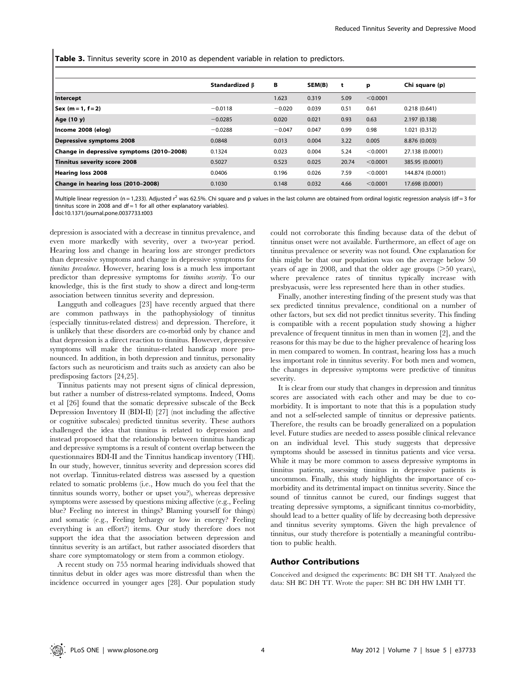Table 3. Tinnitus severity score in 2010 as dependent variable in relation to predictors.

|                                           | Standardized $\beta$ | в        | SEM(B) | t     | р        | Chi square (p)   |
|-------------------------------------------|----------------------|----------|--------|-------|----------|------------------|
| Intercept                                 |                      | 1.623    | 0.319  | 5.09  | < 0.0001 |                  |
| Sex (m = 1, f = 2)                        | $-0.0118$            | $-0.020$ | 0.039  | 0.51  | 0.61     | 0.218(0.641)     |
| Age (10 y)                                | $-0.0285$            | 0.020    | 0.021  | 0.93  | 0.63     | 2.197 (0.138)    |
| Income 2008 (elog)                        | $-0.0288$            | $-0.047$ | 0.047  | 0.99  | 0.98     | 1.021 (0.312)    |
| Depressive symptoms 2008                  | 0.0848               | 0.013    | 0.004  | 3.22  | 0.005    | 8.876 (0.003)    |
| Change in depressive symptoms (2010-2008) | 0.1324               | 0.023    | 0.004  | 5.24  | < 0.0001 | 27.138 (0.0001)  |
| Tinnitus severity score 2008              | 0.5027               | 0.523    | 0.025  | 20.74 | < 0.0001 | 385.95 (0.0001)  |
| Hearing loss 2008                         | 0.0406               | 0.196    | 0.026  | 7.59  | < 0.0001 | 144.874 (0.0001) |
| Change in hearing loss (2010-2008)        | 0.1030               | 0.148    | 0.032  | 4.66  | < 0.0001 | 17.698 (0.0001)  |

Multiple linear regression (n = 1,233). Adjusted  $r^2$  was 62.5%. Chi square and p values in the last column are obtained from ordinal logistic regression analysis (df = 3 for tinnitus score in 2008 and  $df = 1$  for all other explanatory variables).

doi:10.1371/journal.pone.0037733.t003

depression is associated with a decrease in tinnitus prevalence, and even more markedly with severity, over a two-year period. Hearing loss and change in hearing loss are stronger predictors than depressive symptoms and change in depressive symptoms for tinnitus prevalence. However, hearing loss is a much less important predictor than depressive symptoms for tinnitus severity. To our knowledge, this is the first study to show a direct and long-term association between tinnitus severity and depression.

Langguth and colleagues [23] have recently argued that there are common pathways in the pathophysiology of tinnitus (especially tinnitus-related distress) and depression. Therefore, it is unlikely that these disorders are co-morbid only by chance and that depression is a direct reaction to tinnitus. However, depressive symptoms will make the tinnitus-related handicap more pronounced. In addition, in both depression and tinnitus, personality factors such as neuroticism and traits such as anxiety can also be predisposing factors [24,25].

Tinnitus patients may not present signs of clinical depression, but rather a number of distress-related symptoms. Indeed, Ooms et al [26] found that the somatic depressive subscale of the Beck Depression Inventory II (BDI-II) [27] (not including the affective or cognitive subscales) predicted tinnitus severity. These authors challenged the idea that tinnitus is related to depression and instead proposed that the relationship between tinnitus handicap and depressive symptoms is a result of content overlap between the questionnaires BDI-II and the Tinnitus handicap inventory (THI). In our study, however, tinnitus severity and depression scores did not overlap. Tinnitus-related distress was assessed by a question related to somatic problems (i.e., How much do you feel that the tinnitus sounds worry, bother or upset you?), whereas depressive symptoms were assessed by questions mixing affective (e.g., Feeling blue? Feeling no interest in things? Blaming yourself for things) and somatic (e.g., Feeling lethargy or low in energy? Feeling everything is an effort?) items. Our study therefore does not support the idea that the association between depression and tinnitus severity is an artifact, but rather associated disorders that share core symptomatology or stem from a common etiology.

A recent study on 755 normal hearing individuals showed that tinnitus debut in older ages was more distressful than when the incidence occurred in younger ages [28]. Our population study could not corroborate this finding because data of the debut of tinnitus onset were not available. Furthermore, an effect of age on tinnitus prevalence or severity was not found. One explanation for this might be that our population was on the average below 50 years of age in 2008, and that the older age groups  $(>=50$  years), where prevalence rates of tinnitus typically increase with presbyacusis, were less represented here than in other studies.

Finally, another interesting finding of the present study was that sex predicted tinnitus prevalence, conditional on a number of other factors, but sex did not predict tinnitus severity. This finding is compatible with a recent population study showing a higher prevalence of frequent tinnitus in men than in women [2], and the reasons for this may be due to the higher prevalence of hearing loss in men compared to women. In contrast, hearing loss has a much less important role in tinnitus severity. For both men and women, the changes in depressive symptoms were predictive of tinnitus severity.

It is clear from our study that changes in depression and tinnitus scores are associated with each other and may be due to comorbidity. It is important to note that this is a population study and not a self-selected sample of tinnitus or depressive patients. Therefore, the results can be broadly generalized on a population level. Future studies are needed to assess possible clinical relevance on an individual level. This study suggests that depressive symptoms should be assessed in tinnitus patients and vice versa. While it may be more common to assess depressive symptoms in tinnitus patients, assessing tinnitus in depressive patients is uncommon. Finally, this study highlights the importance of comorbidity and its detrimental impact on tinnitus severity. Since the sound of tinnitus cannot be cured, our findings suggest that treating depressive symptoms, a significant tinnitus co-morbidity, should lead to a better quality of life by decreasing both depressive and tinnitus severity symptoms. Given the high prevalence of tinnitus, our study therefore is potentially a meaningful contribution to public health.

#### Author Contributions

Conceived and designed the experiments: BC DH SH TT. Analyzed the data: SH BC DH TT. Wrote the paper: SH BC DH HW LMH TT.